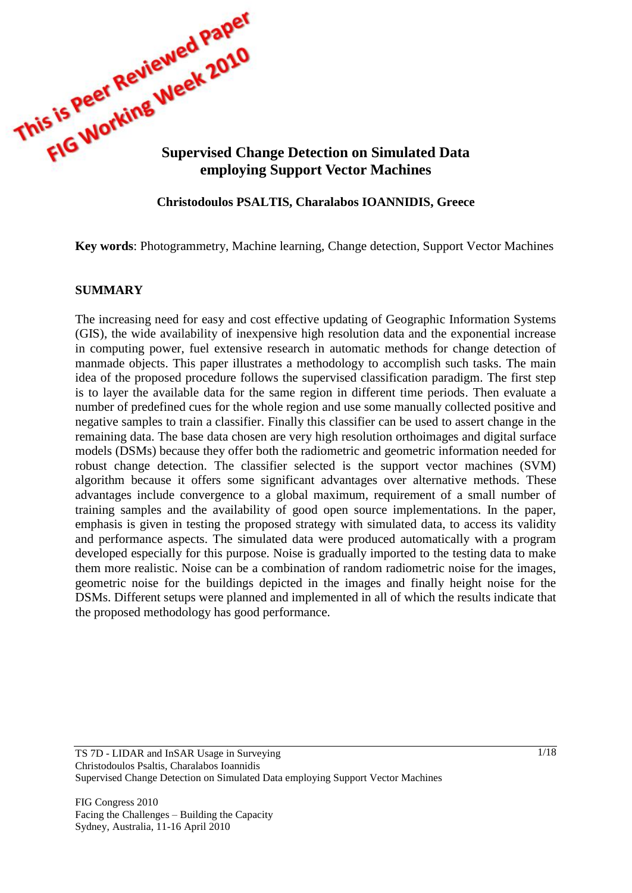

### **Christodoulos PSALTIS, Charalabos IOANNIDIS, Greece**

**Key words**: Photogrammetry, Machine learning, Change detection, Support Vector Machines

#### **SUMMARY**

The increasing need for easy and cost effective updating of Geographic Information Systems (GIS), the wide availability of inexpensive high resolution data and the exponential increase in computing power, fuel extensive research in automatic methods for change detection of manmade objects. This paper illustrates a methodology to accomplish such tasks. The main idea of the proposed procedure follows the supervised classification paradigm. The first step is to layer the available data for the same region in different time periods. Then evaluate a number of predefined cues for the whole region and use some manually collected positive and negative samples to train a classifier. Finally this classifier can be used to assert change in the remaining data. The base data chosen are very high resolution orthoimages and digital surface models (DSMs) because they offer both the radiometric and geometric information needed for robust change detection. The classifier selected is the support vector machines (SVM) algorithm because it offers some significant advantages over alternative methods. These advantages include convergence to a global maximum, requirement of a small number of training samples and the availability of good open source implementations. In the paper, emphasis is given in testing the proposed strategy with simulated data, to access its validity and performance aspects. The simulated data were produced automatically with a program developed especially for this purpose. Noise is gradually imported to the testing data to make them more realistic. Noise can be a combination of random radiometric noise for the images, geometric noise for the buildings depicted in the images and finally height noise for the DSMs. Different setups were planned and implemented in all of which the results indicate that the proposed methodology has good performance.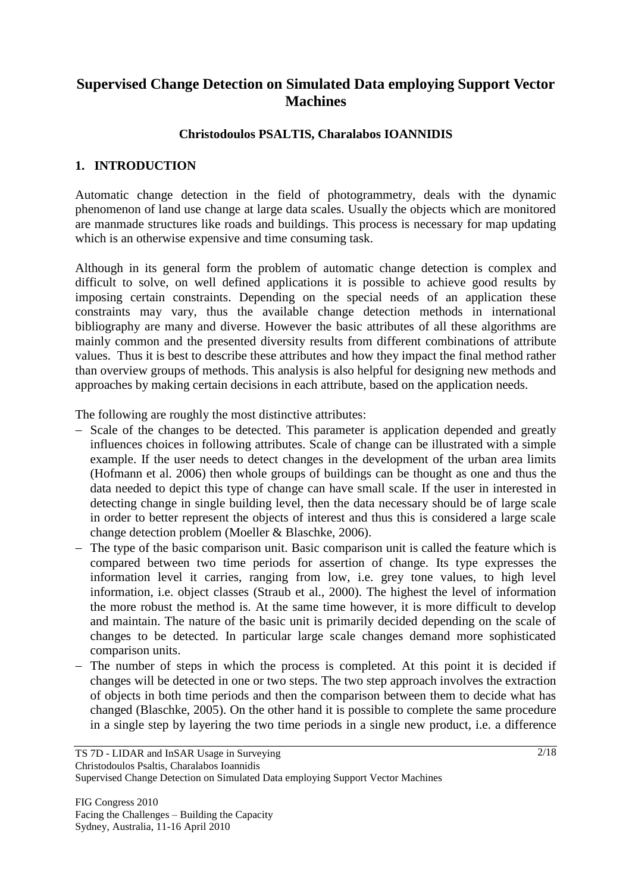# **Supervised Change Detection on Simulated Data employing Support Vector Machines**

# **Christodoulos PSALTIS, Charalabos IOANNIDIS**

### **1. INTRODUCTION**

Automatic change detection in the field of photogrammetry, deals with the dynamic phenomenon of land use change at large data scales. Usually the objects which are monitored are manmade structures like roads and buildings. This process is necessary for map updating which is an otherwise expensive and time consuming task.

Although in its general form the problem of automatic change detection is complex and difficult to solve, on well defined applications it is possible to achieve good results by imposing certain constraints. Depending on the special needs of an application these constraints may vary, thus the available change detection methods in international bibliography are many and diverse. However the basic attributes of all these algorithms are mainly common and the presented diversity results from different combinations of attribute values. Thus it is best to describe these attributes and how they impact the final method rather than overview groups of methods. This analysis is also helpful for designing new methods and approaches by making certain decisions in each attribute, based on the application needs.

The following are roughly the most distinctive attributes:

- Scale of the changes to be detected. This parameter is application depended and greatly influences choices in following attributes. Scale of change can be illustrated with a simple example. If the user needs to detect changes in the development of the urban area limits (Hofmann et al. 2006) then whole groups of buildings can be thought as one and thus the data needed to depict this type of change can have small scale. If the user in interested in detecting change in single building level, then the data necessary should be of large scale in order to better represent the objects of interest and thus this is considered a large scale change detection problem (Moeller & Blaschke, 2006).
- The type of the basic comparison unit. Basic comparison unit is called the feature which is compared between two time periods for assertion of change. Its type expresses the information level it carries, ranging from low, i.e. grey tone values, to high level information, i.e. object classes (Straub et al., 2000). The highest the level of information the more robust the method is. At the same time however, it is more difficult to develop and maintain. The nature of the basic unit is primarily decided depending on the scale of changes to be detected. In particular large scale changes demand more sophisticated comparison units.
- The number of steps in which the process is completed. At this point it is decided if changes will be detected in one or two steps. The two step approach involves the extraction of objects in both time periods and then the comparison between them to decide what has changed (Blaschke, 2005). On the other hand it is possible to complete the same procedure in a single step by layering the two time periods in a single new product, i.e. a difference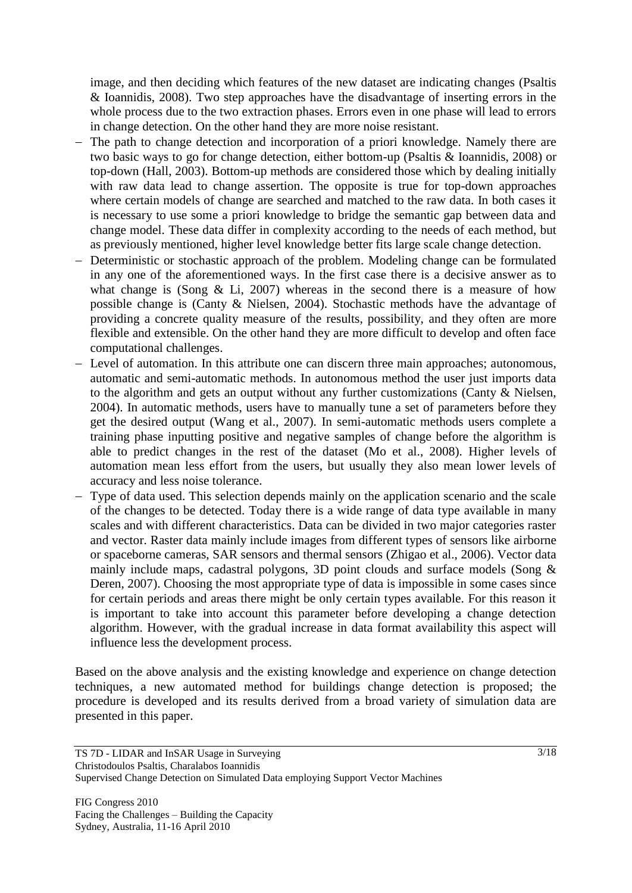image, and then deciding which features of the new dataset are indicating changes (Psaltis & Ioannidis, 2008). Two step approaches have the disadvantage of inserting errors in the whole process due to the two extraction phases. Errors even in one phase will lead to errors in change detection. On the other hand they are more noise resistant.

- The path to change detection and incorporation of a priori knowledge. Namely there are two basic ways to go for change detection, either bottom-up (Psaltis & Ioannidis, 2008) or top-down (Hall, 2003). Bottom-up methods are considered those which by dealing initially with raw data lead to change assertion. The opposite is true for top-down approaches where certain models of change are searched and matched to the raw data. In both cases it is necessary to use some a priori knowledge to bridge the semantic gap between data and change model. These data differ in complexity according to the needs of each method, but as previously mentioned, higher level knowledge better fits large scale change detection.
- Deterministic or stochastic approach of the problem. Modeling change can be formulated in any one of the aforementioned ways. In the first case there is a decisive answer as to what change is (Song  $& Li, 2007$ ) whereas in the second there is a measure of how possible change is (Canty & Nielsen, 2004). Stochastic methods have the advantage of providing a concrete quality measure of the results, possibility, and they often are more flexible and extensible. On the other hand they are more difficult to develop and often face computational challenges.
- Level of automation. In this attribute one can discern three main approaches; autonomous, automatic and semi-automatic methods. In autonomous method the user just imports data to the algorithm and gets an output without any further customizations (Canty & Nielsen, 2004). In automatic methods, users have to manually tune a set of parameters before they get the desired output (Wang et al., 2007). In semi-automatic methods users complete a training phase inputting positive and negative samples of change before the algorithm is able to predict changes in the rest of the dataset (Mo et al., 2008). Higher levels of automation mean less effort from the users, but usually they also mean lower levels of accuracy and less noise tolerance.
- Type of data used. This selection depends mainly on the application scenario and the scale of the changes to be detected. Today there is a wide range of data type available in many scales and with different characteristics. Data can be divided in two major categories raster and vector. Raster data mainly include images from different types of sensors like airborne or spaceborne cameras, SAR sensors and thermal sensors (Zhigao et al., 2006). Vector data mainly include maps, cadastral polygons, 3D point clouds and surface models (Song & Deren, 2007). Choosing the most appropriate type of data is impossible in some cases since for certain periods and areas there might be only certain types available. For this reason it is important to take into account this parameter before developing a change detection algorithm. However, with the gradual increase in data format availability this aspect will influence less the development process.

Based on the above analysis and the existing knowledge and experience on change detection techniques, a new automated method for buildings change detection is proposed; the procedure is developed and its results derived from a broad variety of simulation data are presented in this paper.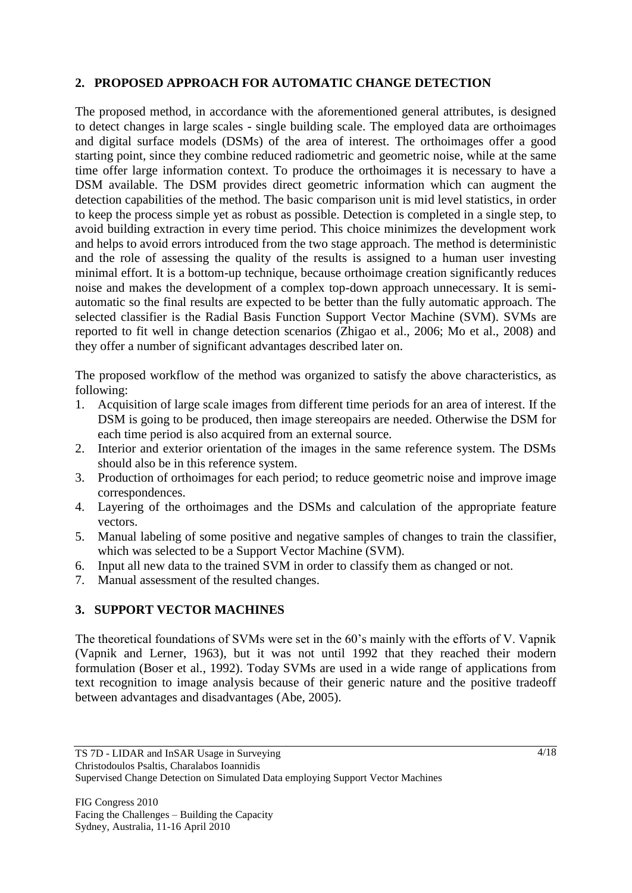# **2. PROPOSED APPROACH FOR AUTOMATIC CHANGE DETECTION**

The proposed method, in accordance with the aforementioned general attributes, is designed to detect changes in large scales - single building scale. The employed data are orthoimages and digital surface models (DSMs) of the area of interest. The orthoimages offer a good starting point, since they combine reduced radiometric and geometric noise, while at the same time offer large information context. To produce the orthoimages it is necessary to have a DSM available. The DSM provides direct geometric information which can augment the detection capabilities of the method. The basic comparison unit is mid level statistics, in order to keep the process simple yet as robust as possible. Detection is completed in a single step, to avoid building extraction in every time period. This choice minimizes the development work and helps to avoid errors introduced from the two stage approach. The method is deterministic and the role of assessing the quality of the results is assigned to a human user investing minimal effort. It is a bottom-up technique, because orthοimage creation significantly reduces noise and makes the development of a complex top-down approach unnecessary. It is semiautomatic so the final results are expected to be better than the fully automatic approach. The selected classifier is the Radial Basis Function Support Vector Machine (SVM). SVMs are reported to fit well in change detection scenarios (Zhigao et al., 2006; Mo et al., 2008) and they offer a number of significant advantages described later on.

The proposed workflow of the method was organized to satisfy the above characteristics, as following:

- 1. Acquisition of large scale images from different time periods for an area of interest. If the DSM is going to be produced, then image stereopairs are needed. Otherwise the DSM for each time period is also acquired from an external source.
- 2. Interior and exterior orientation of the images in the same reference system. The DSMs should also be in this reference system.
- 3. Production of orthoimages for each period; to reduce geometric noise and improve image correspondences.
- 4. Layering of the orthoimages and the DSMs and calculation of the appropriate feature vectors.
- 5. Manual labeling of some positive and negative samples of changes to train the classifier, which was selected to be a Support Vector Machine (SVM).
- 6. Input all new data to the trained SVM in order to classify them as changed or not.
- 7. Manual assessment of the resulted changes.

# **3. SUPPORT VECTOR MACHINES**

The theoretical foundations of SVMs were set in the 60's mainly with the efforts of V. Vapnik (Vapnik and Lerner, 1963), but it was not until 1992 that they reached their modern formulation (Boser et al., 1992). Today SVMs are used in a wide range of applications from text recognition to image analysis because of their generic nature and the positive tradeoff between advantages and disadvantages (Abe, 2005).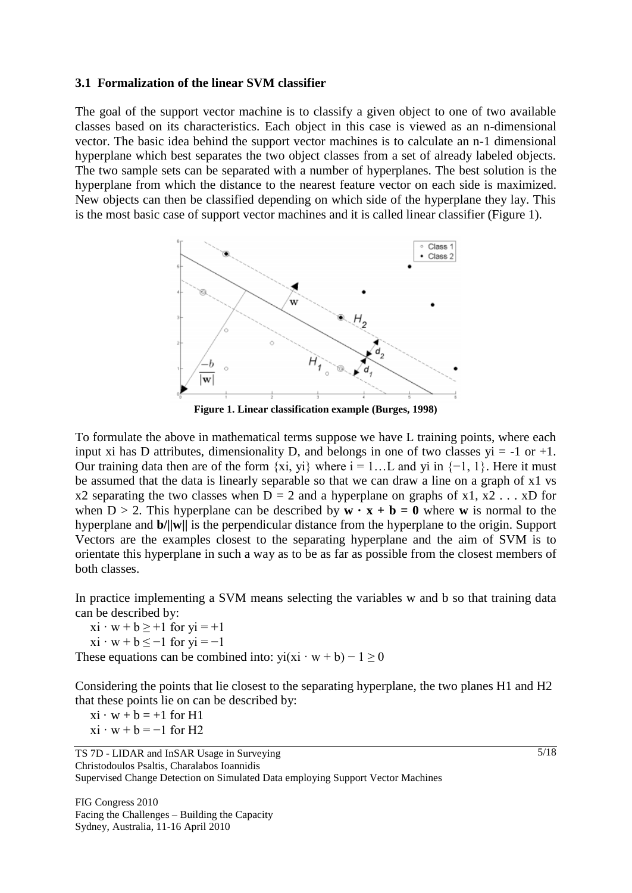#### **3.1 Formalization of the linear SVM classifier**

The goal of the support vector machine is to classify a given object to one of two available classes based on its characteristics. Each object in this case is viewed as an n-dimensional vector. The basic idea behind the support vector machines is to calculate an n-1 dimensional hyperplane which best separates the two object classes from a set of already labeled objects. The two sample sets can be separated with a number of hyperplanes. The best solution is the hyperplane from which the distance to the nearest feature vector on each side is maximized. New objects can then be classified depending on which side of the hyperplane they lay. This is the most basic case of support vector machines and it is called linear classifier [\(Figure 1\)](#page-4-0).



**Figure 1. Linear classification example (Burges, 1998)**

<span id="page-4-0"></span>To formulate the above in mathematical terms suppose we have L training points, where each input xi has D attributes, dimensionality D, and belongs in one of two classes  $yi = -1$  or  $+1$ . Our training data then are of the form  $\{xi, yi\}$  where  $i = 1...L$  and  $yi$  in  $\{-1, 1\}$ . Here it must be assumed that the data is linearly separable so that we can draw a line on a graph of x1 vs x2 separating the two classes when  $D = 2$  and a hyperplane on graphs of x1, x2 . . . xD for when  $D > 2$ . This hyperplane can be described by  $\mathbf{w} \cdot \mathbf{x} + \mathbf{b} = 0$  where **w** is normal to the hyperplane and **b/||w||** is the perpendicular distance from the hyperplane to the origin. Support Vectors are the examples closest to the separating hyperplane and the aim of SVM is to orientate this hyperplane in such a way as to be as far as possible from the closest members of both classes.

In practice implementing a SVM means selecting the variables w and b so that training data can be described by:

 $xi \cdot w + b \geq 1$  for  $yi = +1$ 

 $xi \cdot w + b \le -1$  for  $yi = -1$ 

These equations can be combined into:  $vi(xi \cdot w + b) - 1 \ge 0$ 

Considering the points that lie closest to the separating hyperplane, the two planes H1 and H2 that these points lie on can be described by:

 $xi \cdot w + b = +1$  for H1  $xi \cdot w + b = -1$  for H2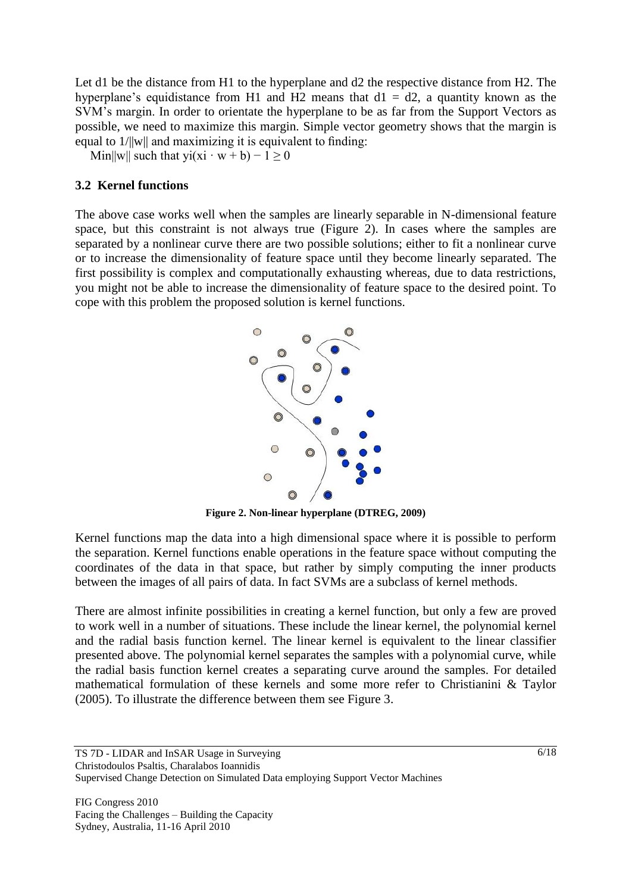Let d1 be the distance from H1 to the hyperplane and d2 the respective distance from H2. The hyperplane's equidistance from H1 and H2 means that  $d1 = d2$ , a quantity known as the SVM's margin. In order to orientate the hyperplane to be as far from the Support Vectors as possible, we need to maximize this margin. Simple vector geometry shows that the margin is equal to 1/||w|| and maximizing it is equivalent to finding:

Min||w|| such that yi(xi · w + b) – 1 ≥ 0

### **3.2 Kernel functions**

The above case works well when the samples are linearly separable in N-dimensional feature space, but this constraint is not always true [\(Figure 2\)](#page-5-0). In cases where the samples are separated by a nonlinear curve there are two possible solutions; either to fit a nonlinear curve or to increase the dimensionality of feature space until they become linearly separated. The first possibility is complex and computationally exhausting whereas, due to data restrictions, you might not be able to increase the dimensionality of feature space to the desired point. To cope with this problem the proposed solution is kernel functions.



**Figure 2. Non-linear hyperplane (DTREG, 2009)**

<span id="page-5-0"></span>Kernel functions map the data into a high dimensional space where it is possible to perform the separation. Kernel functions enable operations in the feature space without computing the coordinates of the data in that space, but rather by simply computing the inner products between the images of all pairs of data. In fact SVMs are a subclass of kernel methods.

There are almost infinite possibilities in creating a kernel function, but only a few are proved to work well in a number of situations. These include the linear kernel, the polynomial kernel and the radial basis function kernel. The linear kernel is equivalent to the linear classifier presented above. The polynomial kernel separates the samples with a polynomial curve, while the radial basis function kernel creates a separating curve around the samples. For detailed mathematical formulation of these kernels and some more refer to Christianini & Taylor (2005). To illustrate the difference between them see Figure 3.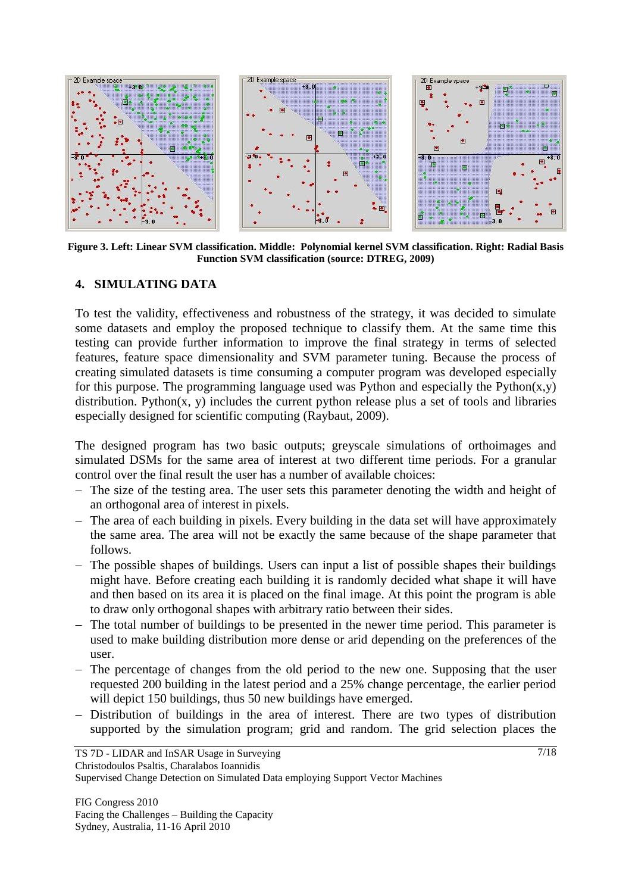

**Figure 3. Left: Linear SVM classification. Middle: Polynomial kernel SVM classification. Right: Radial Basis Function SVM classification (source: DTREG, 2009)**

### **4. SIMULATING DATA**

To test the validity, effectiveness and robustness of the strategy, it was decided to simulate some datasets and employ the proposed technique to classify them. At the same time this testing can provide further information to improve the final strategy in terms of selected features, feature space dimensionality and SVM parameter tuning. Because the process of creating simulated datasets is time consuming a computer program was developed especially for this purpose. The programming language used was Python and especially the Python $(x,y)$ distribution. Python(x, y) includes the current python release plus a set of tools and libraries especially designed for scientific computing (Raybaut, 2009).

The designed program has two basic outputs; greyscale simulations of orthoimages and simulated DSMs for the same area of interest at two different time periods. For a granular control over the final result the user has a number of available choices:

- The size of the testing area. The user sets this parameter denoting the width and height of an orthogonal area of interest in pixels.
- The area of each building in pixels. Every building in the data set will have approximately the same area. The area will not be exactly the same because of the shape parameter that follows.
- The possible shapes of buildings. Users can input a list of possible shapes their buildings might have. Before creating each building it is randomly decided what shape it will have and then based on its area it is placed on the final image. At this point the program is able to draw only orthogonal shapes with arbitrary ratio between their sides.
- The total number of buildings to be presented in the newer time period. This parameter is used to make building distribution more dense or arid depending on the preferences of the user.
- The percentage of changes from the old period to the new one. Supposing that the user requested 200 building in the latest period and a 25% change percentage, the earlier period will depict 150 buildings, thus 50 new buildings have emerged.
- Distribution of buildings in the area of interest. There are two types of distribution supported by the simulation program; grid and random. The grid selection places the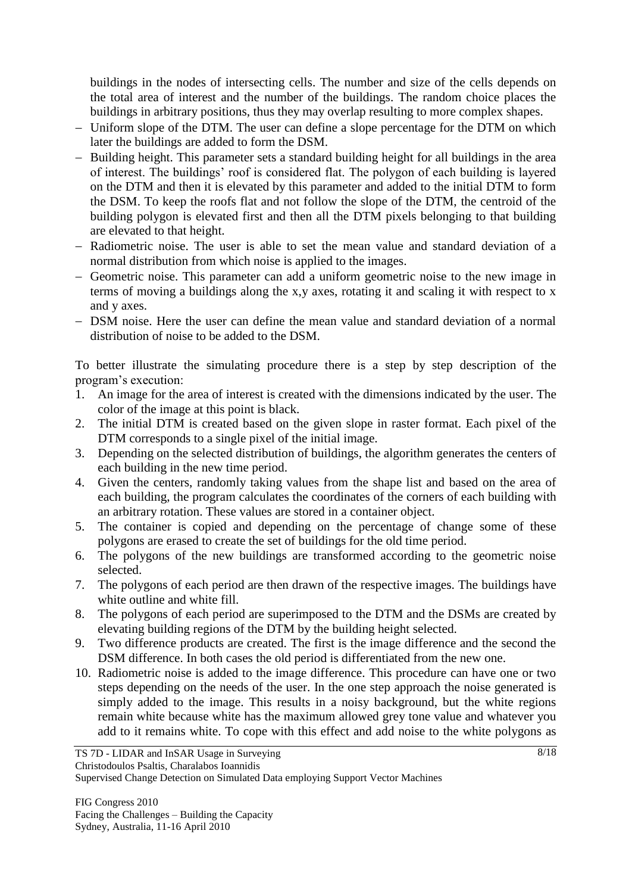buildings in the nodes of intersecting cells. The number and size of the cells depends on the total area of interest and the number of the buildings. The random choice places the buildings in arbitrary positions, thus they may overlap resulting to more complex shapes.

- Uniform slope of the DTM. The user can define a slope percentage for the DTM on which later the buildings are added to form the DSM.
- Building height. This parameter sets a standard building height for all buildings in the area of interest. The buildings' roof is considered flat. The polygon of each building is layered on the DTM and then it is elevated by this parameter and added to the initial DTM to form the DSM. To keep the roofs flat and not follow the slope of the DTM, the centroid of the building polygon is elevated first and then all the DTM pixels belonging to that building are elevated to that height.
- Radiometric noise. The user is able to set the mean value and standard deviation of a normal distribution from which noise is applied to the images.
- Geometric noise. This parameter can add a uniform geometric noise to the new image in terms of moving a buildings along the x,y axes, rotating it and scaling it with respect to x and y axes.
- DSM noise. Here the user can define the mean value and standard deviation of a normal distribution of noise to be added to the DSM.

To better illustrate the simulating procedure there is a step by step description of the program's execution:

- 1. An image for the area of interest is created with the dimensions indicated by the user. The color of the image at this point is black.
- 2. The initial DTM is created based on the given slope in raster format. Each pixel of the DTM corresponds to a single pixel of the initial image.
- 3. Depending on the selected distribution of buildings, the algorithm generates the centers of each building in the new time period.
- 4. Given the centers, randomly taking values from the shape list and based on the area of each building, the program calculates the coordinates of the corners of each building with an arbitrary rotation. These values are stored in a container object.
- 5. The container is copied and depending on the percentage of change some of these polygons are erased to create the set of buildings for the old time period.
- 6. The polygons of the new buildings are transformed according to the geometric noise selected.
- 7. The polygons of each period are then drawn of the respective images. The buildings have white outline and white fill.
- 8. The polygons of each period are superimposed to the DTM and the DSMs are created by elevating building regions of the DTM by the building height selected.
- 9. Two difference products are created. The first is the image difference and the second the DSM difference. In both cases the old period is differentiated from the new one.
- 10. Radiometric noise is added to the image difference. This procedure can have one or two steps depending on the needs of the user. In the one step approach the noise generated is simply added to the image. This results in a noisy background, but the white regions remain white because white has the maximum allowed grey tone value and whatever you add to it remains white. To cope with this effect and add noise to the white polygons as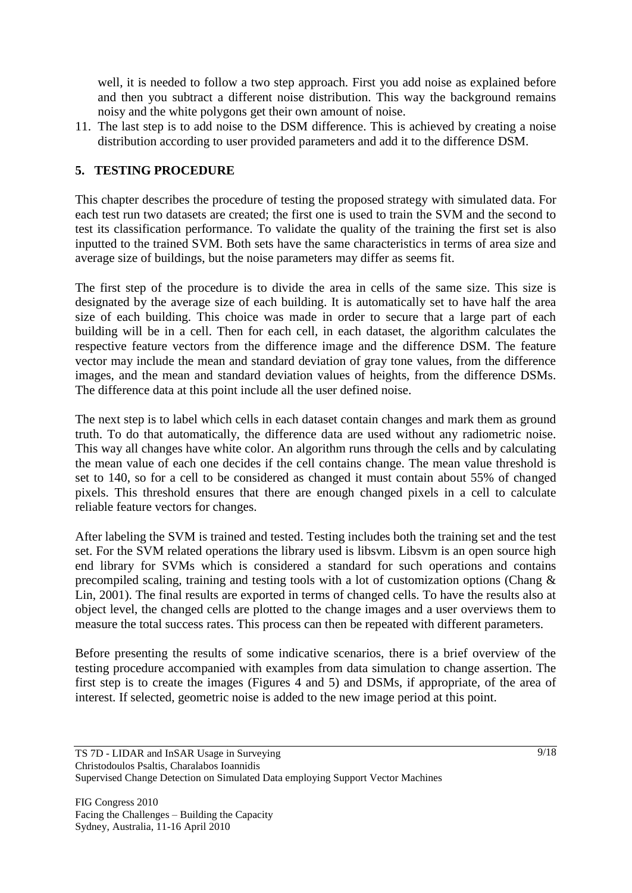well, it is needed to follow a two step approach. First you add noise as explained before and then you subtract a different noise distribution. This way the background remains noisy and the white polygons get their own amount of noise.

11. The last step is to add noise to the DSM difference. This is achieved by creating a noise distribution according to user provided parameters and add it to the difference DSM.

### **5. TESTING PROCEDURE**

This chapter describes the procedure of testing the proposed strategy with simulated data. For each test run two datasets are created; the first one is used to train the SVM and the second to test its classification performance. To validate the quality of the training the first set is also inputted to the trained SVM. Both sets have the same characteristics in terms of area size and average size of buildings, but the noise parameters may differ as seems fit.

The first step of the procedure is to divide the area in cells of the same size. This size is designated by the average size of each building. It is automatically set to have half the area size of each building. This choice was made in order to secure that a large part of each building will be in a cell. Then for each cell, in each dataset, the algorithm calculates the respective feature vectors from the difference image and the difference DSM. The feature vector may include the mean and standard deviation of gray tone values, from the difference images, and the mean and standard deviation values of heights, from the difference DSMs. The difference data at this point include all the user defined noise.

The next step is to label which cells in each dataset contain changes and mark them as ground truth. To do that automatically, the difference data are used without any radiometric noise. This way all changes have white color. An algorithm runs through the cells and by calculating the mean value of each one decides if the cell contains change. The mean value threshold is set to 140, so for a cell to be considered as changed it must contain about 55% of changed pixels. This threshold ensures that there are enough changed pixels in a cell to calculate reliable feature vectors for changes.

After labeling the SVM is trained and tested. Testing includes both the training set and the test set. For the SVM related operations the library used is libsvm. Libsvm is an open source high end library for SVMs which is considered a standard for such operations and contains precompiled scaling, training and testing tools with a lot of customization options (Chang & Lin, 2001). The final results are exported in terms of changed cells. To have the results also at object level, the changed cells are plotted to the change images and a user overviews them to measure the total success rates. This process can then be repeated with different parameters.

Before presenting the results of some indicative scenarios, there is a brief overview of the testing procedure accompanied with examples from data simulation to change assertion. The first step is to create the images (Figures 4 and 5) and DSMs, if appropriate, of the area of interest. If selected, geometric noise is added to the new image period at this point.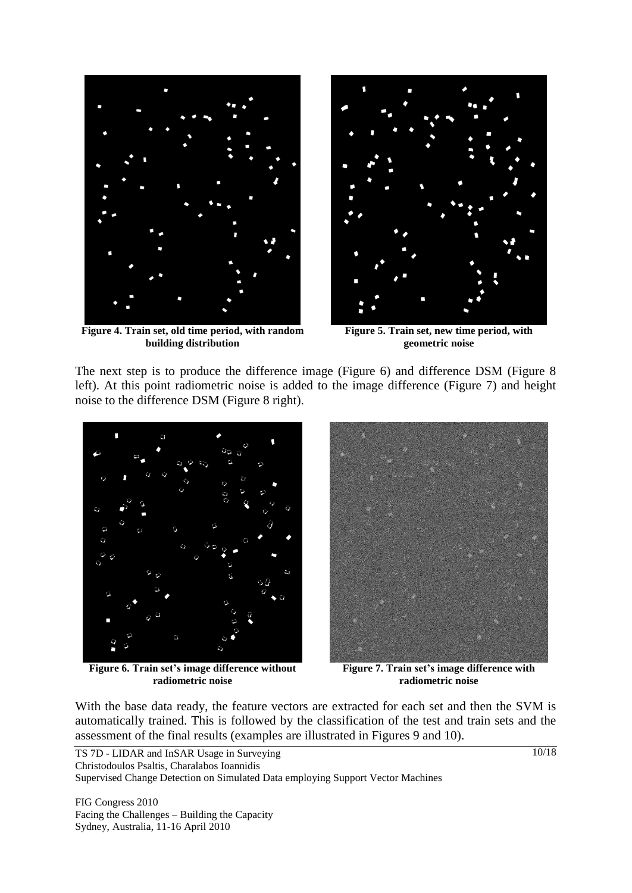

**Figure 4. Train set, old time period, with random building distribution**



**Figure 5. Train set, new time period, with geometric noise**

The next step is to produce the difference image (Figure 6) and difference DSM (Figure 8 left). At this point radiometric noise is added to the image difference (Figure 7) and height noise to the difference DSM (Figure 8 right).



**Figure 6. Train set's image difference without radiometric noise**



**Figure 7. Train set's image difference with radiometric noise**

With the base data ready, the feature vectors are extracted for each set and then the SVM is automatically trained. This is followed by the classification of the test and train sets and the assessment of the final results (examples are illustrated in Figures 9 and 10).

FIG Congress 2010 Facing the Challenges – Building the Capacity Sydney, Australia, 11-16 April 2010

10/18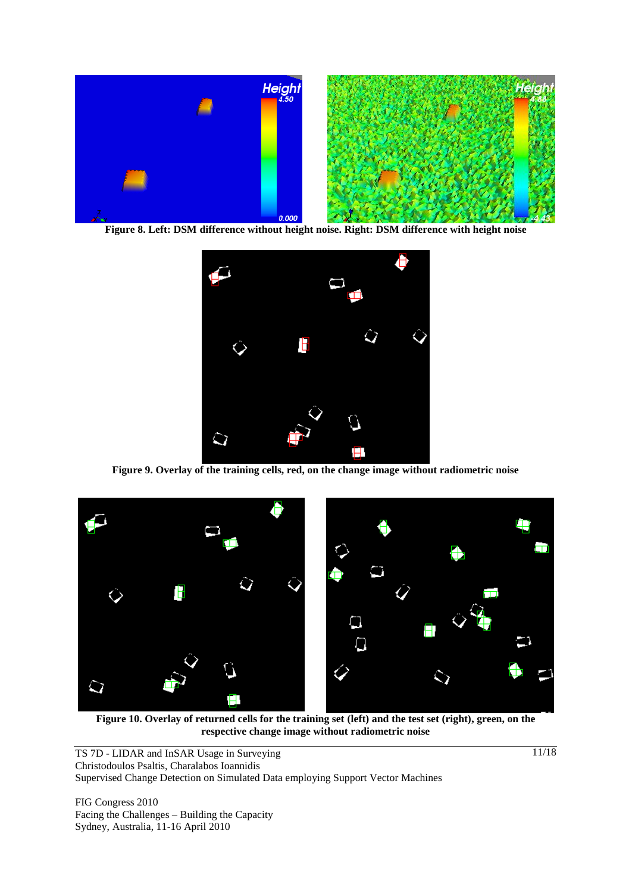

**Figure 8. Left: DSM difference without height noise. Right: DSM difference with height noise**



**Figure 9. Overlay of the training cells, red, on the change image without radiometric noise** 



**Figure 10. Overlay of returned cells for the training set (left) and the test set (right), green, on the respective change image without radiometric noise**

TS 7D - LIDAR and InSAR Usage in Surveying Christodoulos Psaltis, Charalabos Ioannidis Supervised Change Detection on Simulated Data employing Support Vector Machines

FIG Congress 2010 Facing the Challenges – Building the Capacity Sydney, Australia, 11-16 April 2010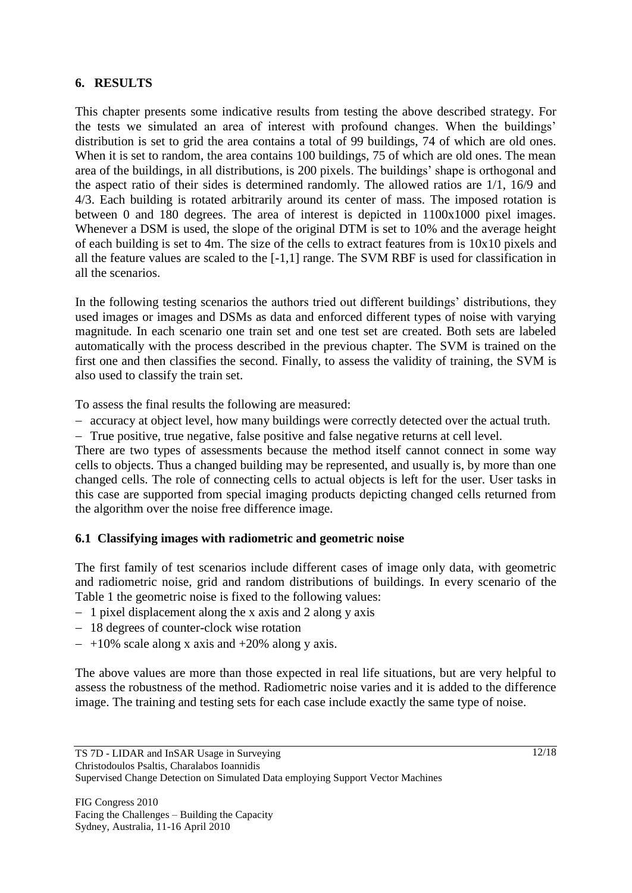# **6. RESULTS**

This chapter presents some indicative results from testing the above described strategy. For the tests we simulated an area of interest with profound changes. When the buildings' distribution is set to grid the area contains a total of 99 buildings, 74 of which are old ones. When it is set to random, the area contains 100 buildings, 75 of which are old ones. The mean area of the buildings, in all distributions, is 200 pixels. The buildings' shape is orthogonal and the aspect ratio of their sides is determined randomly. The allowed ratios are 1/1, 16/9 and 4/3. Each building is rotated arbitrarily around its center of mass. The imposed rotation is between 0 and 180 degrees. The area of interest is depicted in 1100x1000 pixel images. Whenever a DSM is used, the slope of the original DTM is set to 10% and the average height of each building is set to 4m. The size of the cells to extract features from is 10x10 pixels and all the feature values are scaled to the [-1,1] range. The SVM RBF is used for classification in all the scenarios.

In the following testing scenarios the authors tried out different buildings' distributions, they used images or images and DSMs as data and enforced different types of noise with varying magnitude. In each scenario one train set and one test set are created. Both sets are labeled automatically with the process described in the previous chapter. The SVM is trained on the first one and then classifies the second. Finally, to assess the validity of training, the SVM is also used to classify the train set.

To assess the final results the following are measured:

- accuracy at object level, how many buildings were correctly detected over the actual truth.
- True positive, true negative, false positive and false negative returns at cell level.

There are two types of assessments because the method itself cannot connect in some way cells to objects. Thus a changed building may be represented, and usually is, by more than one changed cells. The role of connecting cells to actual objects is left for the user. User tasks in this case are supported from special imaging products depicting changed cells returned from the algorithm over the noise free difference image.

# **6.1 Classifying images with radiometric and geometric noise**

The first family of test scenarios include different cases of image only data, with geometric and radiometric noise, grid and random distributions of buildings. In every scenario of the Table 1 the geometric noise is fixed to the following values:

- $-1$  pixel displacement along the x axis and 2 along y axis
- 18 degrees of counter-clock wise rotation
- $-$  +10% scale along x axis and +20% along y axis.

The above values are more than those expected in real life situations, but are very helpful to assess the robustness of the method. Radiometric noise varies and it is added to the difference image. The training and testing sets for each case include exactly the same type of noise.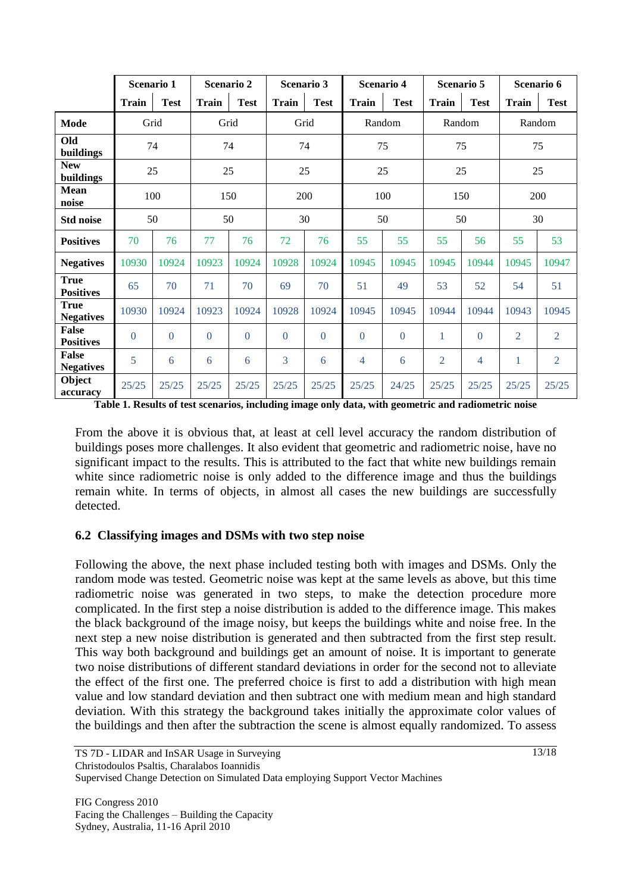|                                  | Scenario 1     |              | Scenario 2   |             | Scenario 3   |                | Scenario 4   |             | Scenario 5     |             | Scenario 6     |                |
|----------------------------------|----------------|--------------|--------------|-------------|--------------|----------------|--------------|-------------|----------------|-------------|----------------|----------------|
|                                  | <b>Train</b>   | <b>Test</b>  | <b>Train</b> | <b>Test</b> | <b>Train</b> | <b>Test</b>    | <b>Train</b> | <b>Test</b> | <b>Train</b>   | <b>Test</b> | <b>Train</b>   | <b>Test</b>    |
| Mode                             |                | Grid         | Grid         |             | Grid         |                | Random       |             | Random         |             | Random         |                |
| Old<br>buildings                 | 74             |              | 74           |             | 74           |                | 75           |             | 75             |             | 75             |                |
| <b>New</b><br>buildings          | 25             |              | 25           |             | 25           |                | 25           |             | 25             |             | 25             |                |
| <b>Mean</b><br>noise             | 100            |              | 150          |             | 200          |                | 100          |             | 150            |             | 200            |                |
| <b>Std noise</b>                 | 50             |              | 50           |             | 30           |                | 50           |             | 50             |             | 30             |                |
| <b>Positives</b>                 | 70             | 76           | 77           | 76          | 72           | 76             | 55           | 55          | 55             | 56          | 55             | 53             |
| <b>Negatives</b>                 | 10930          | 10924        | 10923        | 10924       | 10928        | 10924          | 10945        | 10945       | 10945          | 10944       | 10945          | 10947          |
| <b>True</b><br><b>Positives</b>  | 65             | 70           | 71           | 70          | 69           | 70             | 51           | 49          | 53             | 52          | 54             | 51             |
| True<br><b>Negatives</b>         | 10930          | 10924        | 10923        | 10924       | 10928        | 10924          | 10945        | 10945       | 10944          | 10944       | 10943          | 10945          |
| <b>False</b><br><b>Positives</b> | $\overline{0}$ | $\mathbf{0}$ | $\theta$     | $\theta$    | $\Omega$     | $\overline{0}$ | $\Omega$     | $\theta$    | 1              | $\Omega$    | $\overline{2}$ | $\overline{2}$ |
| <b>False</b><br><b>Negatives</b> | 5              | 6            | 6            | 6           | 3            | 6              | 4            | 6           | $\overline{2}$ | 4           | 1              | $\overline{2}$ |
| Object<br>accuracy               | 25/25          | 25/25        | 25/25        | 25/25       | 25/25        | 25/25          | 25/25        | 24/25       | 25/25          | 25/25       | 25/25          | 25/25          |

**Table 1. Results of test scenarios, including image only data, with geometric and radiometric noise**

From the above it is obvious that, at least at cell level accuracy the random distribution of buildings poses more challenges. It also evident that geometric and radiometric noise, have no significant impact to the results. This is attributed to the fact that white new buildings remain white since radiometric noise is only added to the difference image and thus the buildings remain white. In terms of objects, in almost all cases the new buildings are successfully detected.

# **6.2 Classifying images and DSMs with two step noise**

Following the above, the next phase included testing both with images and DSMs. Only the random mode was tested. Geometric noise was kept at the same levels as above, but this time radiometric noise was generated in two steps, to make the detection procedure more complicated. In the first step a noise distribution is added to the difference image. This makes the black background of the image noisy, but keeps the buildings white and noise free. In the next step a new noise distribution is generated and then subtracted from the first step result. This way both background and buildings get an amount of noise. It is important to generate two noise distributions of different standard deviations in order for the second not to alleviate the effect of the first one. The preferred choice is first to add a distribution with high mean value and low standard deviation and then subtract one with medium mean and high standard deviation. With this strategy the background takes initially the approximate color values of the buildings and then after the subtraction the scene is almost equally randomized. To assess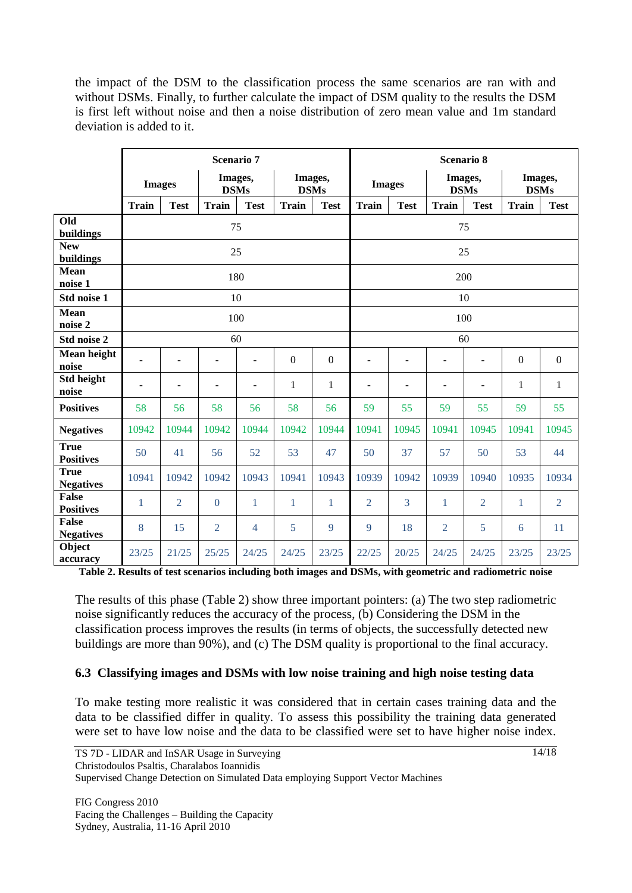the impact of the DSM to the classification process the same scenarios are ran with and without DSMs. Finally, to further calculate the impact of DSM quality to the results the DSM is first left without noise and then a noise distribution of zero mean value and 1m standard deviation is added to it.

|                                  | <b>Scenario 7</b>        |                |                          |                          |                        |                | <b>Scenario 8</b>        |                          |                        |                          |                        |                |  |  |
|----------------------------------|--------------------------|----------------|--------------------------|--------------------------|------------------------|----------------|--------------------------|--------------------------|------------------------|--------------------------|------------------------|----------------|--|--|
|                                  | <b>Images</b>            |                | Images,<br><b>DSMs</b>   |                          | Images,<br><b>DSMs</b> |                | <b>Images</b>            |                          | Images,<br><b>DSMs</b> |                          | Images,<br><b>DSMs</b> |                |  |  |
|                                  | <b>Train</b>             | <b>Test</b>    | <b>Train</b>             | <b>Test</b>              | <b>Train</b>           | <b>Test</b>    | <b>Train</b>             | <b>Test</b>              | <b>Train</b>           | <b>Test</b>              | <b>Train</b>           | <b>Test</b>    |  |  |
| Old<br>buildings                 | 75                       |                |                          |                          |                        |                |                          | 75                       |                        |                          |                        |                |  |  |
| <b>New</b><br>buildings          | 25                       |                |                          |                          |                        |                |                          | 25                       |                        |                          |                        |                |  |  |
| <b>Mean</b><br>noise 1           | 180                      |                |                          |                          |                        |                |                          | 200                      |                        |                          |                        |                |  |  |
| Std noise 1                      | 10                       |                |                          |                          |                        |                |                          | 10                       |                        |                          |                        |                |  |  |
| <b>Mean</b><br>noise 2           | 100                      |                |                          |                          |                        |                |                          | 100                      |                        |                          |                        |                |  |  |
| Std noise 2                      | 60                       |                |                          |                          |                        |                |                          | 60                       |                        |                          |                        |                |  |  |
| Mean height<br>noise             | L,                       |                |                          | $\blacksquare$           | $\boldsymbol{0}$       | $\overline{0}$ | ÷                        |                          |                        | $\overline{a}$           | $\mathbf{0}$           | $\mathbf{0}$   |  |  |
| Std height<br>noise              | $\overline{\phantom{a}}$ | ÷              | $\overline{\phantom{a}}$ | $\overline{\phantom{m}}$ | 1                      | 1              | $\overline{\phantom{0}}$ | $\overline{\phantom{a}}$ | ÷                      | $\overline{\phantom{m}}$ | 1                      | 1              |  |  |
| <b>Positives</b>                 | 58                       | 56             | 58                       | 56                       | 58                     | 56             | 59                       | 55                       | 59                     | 55                       | 59                     | 55             |  |  |
| <b>Negatives</b>                 | 10942                    | 10944          | 10942                    | 10944                    | 10942                  | 10944          | 10941                    | 10945                    | 10941                  | 10945                    | 10941                  | 10945          |  |  |
| <b>True</b><br><b>Positives</b>  | 50                       | 41             | 56                       | 52                       | 53                     | 47             | 50                       | 37                       | 57                     | 50                       | 53                     | 44             |  |  |
| <b>True</b><br><b>Negatives</b>  | 10941                    | 10942          | 10942                    | 10943                    | 10941                  | 10943          | 10939                    | 10942                    | 10939                  | 10940                    | 10935                  | 10934          |  |  |
| <b>False</b><br><b>Positives</b> | 1                        | $\overline{2}$ | $\theta$                 | 1                        | 1                      | 1              | $\overline{2}$           | 3                        | 1                      | $\overline{2}$           | 1                      | $\overline{2}$ |  |  |
| <b>False</b><br><b>Negatives</b> | 8                        | 15             | $\overline{2}$           | $\overline{4}$           | 5                      | 9              | 9                        | 18                       | $\overline{2}$         | 5                        | 6                      | 11             |  |  |
| Object<br>accuracy               | 23/25                    | 21/25          | 25/25                    | 24/25                    | 24/25                  | 23/25          | 22/25                    | 20/25                    | 24/25                  | 24/25                    | 23/25                  | 23/25          |  |  |

**Table 2. Results of test scenarios including both images and DSMs, with geometric and radiometric noise**

The results of this phase (Table 2) show three important pointers: (a) The two step radiometric noise significantly reduces the accuracy of the process, (b) Considering the DSM in the classification process improves the results (in terms of objects, the successfully detected new buildings are more than 90%), and (c) The DSM quality is proportional to the final accuracy.

#### **6.3 Classifying images and DSMs with low noise training and high noise testing data**

To make testing more realistic it was considered that in certain cases training data and the data to be classified differ in quality. To assess this possibility the training data generated were set to have low noise and the data to be classified were set to have higher noise index.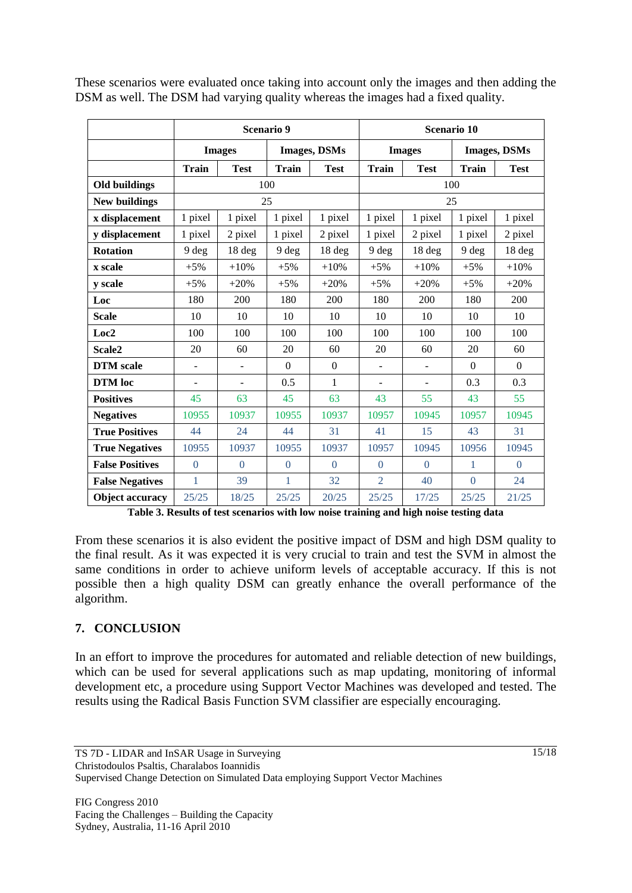|                        |                |                | <b>Scenario 9</b> |                     | Scenario 10  |                |                     |             |  |
|------------------------|----------------|----------------|-------------------|---------------------|--------------|----------------|---------------------|-------------|--|
|                        |                | <b>Images</b>  |                   | <b>Images, DSMs</b> |              | <b>Images</b>  | <b>Images, DSMs</b> |             |  |
|                        | <b>Train</b>   | <b>Test</b>    | <b>Train</b>      | <b>Test</b>         | <b>Train</b> | <b>Test</b>    | <b>Train</b>        | <b>Test</b> |  |
| <b>Old buildings</b>   | 100<br>100     |                |                   |                     |              |                |                     |             |  |
| <b>New buildings</b>   | 25<br>25       |                |                   |                     |              |                |                     |             |  |
| x displacement         | 1 pixel        | 1 pixel        | 1 pixel           | 1 pixel             | 1 pixel      | 1 pixel        | 1 pixel             | 1 pixel     |  |
| y displacement         | 1 pixel        | 2 pixel        | 1 pixel           | 2 pixel             | 1 pixel      | 2 pixel        | 1 pixel             | 2 pixel     |  |
| <b>Rotation</b>        | 9 deg          | 18 deg         | 9 deg             | 18 deg              | 9 deg        | 18 deg         | 9 deg               | 18 deg      |  |
| x scale                | $+5%$          | $+10%$         | $+5%$             | $+10%$              | $+5%$        | $+10%$         | $+5%$               | $+10%$      |  |
| y scale                | $+5%$          | $+20%$         | $+5%$             | $+20%$              | $+5%$        | $+20%$         | $+5%$               | $+20%$      |  |
| Loc                    | 180            | 200            | 180               | 200                 | 180          | 200            | 180                 | 200         |  |
| <b>Scale</b>           | 10             | 10             | 10                | 10                  | 10           | 10             | 10                  | 10          |  |
| Loc <sub>2</sub>       | 100            | 100            | 100               | 100                 | 100          | 100            | 100                 | 100         |  |
| Scale <sub>2</sub>     | 20             | 60             | 20                | 60                  | 20           | 60             | 20                  | 60          |  |
| <b>DTM</b> scale       | $\blacksquare$ | $\blacksquare$ | $\Omega$          | $\mathbf{0}$        | ٠            | $\blacksquare$ | $\Omega$            | $\Omega$    |  |
| <b>DTM</b> loc         |                | $\blacksquare$ | 0.5               | 1                   |              | ٠              | 0.3                 | 0.3         |  |
| <b>Positives</b>       | 45             | 63             | 45                | 63                  | 43           | 55             | 43                  | 55          |  |
| <b>Negatives</b>       | 10955          | 10937          | 10955             | 10937               | 10957        | 10945          | 10957               | 10945       |  |
| <b>True Positives</b>  | 44             | 24             | 44                | 31                  | 41           | 15             | 43                  | 31          |  |
| <b>True Negatives</b>  | 10955          | 10937          | 10955             | 10937               | 10957        | 10945          | 10956               | 10945       |  |
| <b>False Positives</b> | $\Omega$       | $\Omega$       | $\theta$          | $\theta$            | $\theta$     | $\theta$       | 1                   | $\theta$    |  |
| <b>False Negatives</b> | 1              | 39             | 1                 | 32                  | 2            | 40             | $\Omega$            | 24          |  |
| <b>Object accuracy</b> | 25/25          | 18/25          | 25/25             | 20/25               | 25/25        | 17/25          | 25/25               | 21/25       |  |

These scenarios were evaluated once taking into account only the images and then adding the DSM as well. The DSM had varying quality whereas the images had a fixed quality.

**Table 3. Results of test scenarios with low noise training and high noise testing data**

From these scenarios it is also evident the positive impact of DSM and high DSM quality to the final result. As it was expected it is very crucial to train and test the SVM in almost the same conditions in order to achieve uniform levels of acceptable accuracy. If this is not possible then a high quality DSM can greatly enhance the overall performance of the algorithm.

# **7. CONCLUSION**

In an effort to improve the procedures for automated and reliable detection of new buildings, which can be used for several applications such as map updating, monitoring of informal development etc, a procedure using Support Vector Machines was developed and tested. The results using the Radical Basis Function SVM classifier are especially encouraging.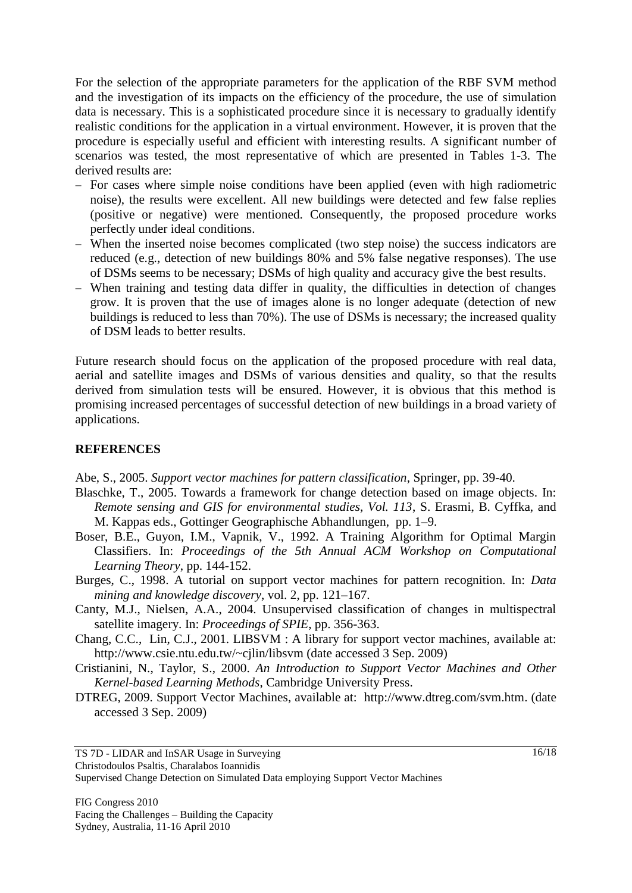For the selection of the appropriate parameters for the application of the RBF SVM method and the investigation of its impacts on the efficiency of the procedure, the use of simulation data is necessary. This is a sophisticated procedure since it is necessary to gradually identify realistic conditions for the application in a virtual environment. However, it is proven that the procedure is especially useful and efficient with interesting results. A significant number of scenarios was tested, the most representative of which are presented in Tables 1-3. The derived results are:

- For cases where simple noise conditions have been applied (even with high radiometric noise), the results were excellent. All new buildings were detected and few false replies (positive or negative) were mentioned. Consequently, the proposed procedure works perfectly under ideal conditions.
- When the inserted noise becomes complicated (two step noise) the success indicators are reduced (e.g., detection of new buildings 80% and 5% false negative responses). The use of DSMs seems to be necessary; DSMs of high quality and accuracy give the best results.
- When training and testing data differ in quality, the difficulties in detection of changes grow. It is proven that the use of images alone is no longer adequate (detection of new buildings is reduced to less than 70%). The use of DSMs is necessary; the increased quality of DSM leads to better results.

Future research should focus on the application of the proposed procedure with real data, aerial and satellite images and DSMs of various densities and quality, so that the results derived from simulation tests will be ensured. However, it is obvious that this method is promising increased percentages of successful detection of new buildings in a broad variety of applications.

# **REFERENCES**

Abe, S., 2005. *Support vector machines for pattern classification*, Springer, pp. 39-40.

- Blaschke, T., 2005. Towards a framework for change detection based on image objects. In: *Remote sensing and GIS for environmental studies, Vol. 113*, S. Erasmi, B. Cyffka, and M. Kappas eds., Gottinger Geographische Abhandlungen, pp. 1–9.
- Boser, B.E., Guyon, I.M., Vapnik, V., 1992. A Training Algorithm for Optimal Margin Classifiers. In: *Proceedings of the 5th Annual ACM Workshop on Computational Learning Theory*, pp. 144-152.
- Burges, C., 1998. A tutorial on support vector machines for pattern recognition. In: *Data mining and knowledge discovery*, vol. 2, pp. 121–167.
- Canty, M.J., Nielsen, A.A., 2004. Unsupervised classification of changes in multispectral satellite imagery. In: *Proceedings of SPIE*, pp. 356-363.
- Chang, C.C., Lin, C.J., 2001. LIBSVM : A library for support vector machines, available at: http://www.csie.ntu.edu.tw/~cjlin/libsvm (date accessed 3 Sep. 2009)
- Cristianini, N., Taylor, S., 2000. *An Introduction to Support Vector Machines and Other Kernel-based Learning Methods*, Cambridge University Press.
- DTREG, 2009. Support Vector Machines, available at: http://www.dtreg.com/svm.htm. (date accessed 3 Sep. 2009)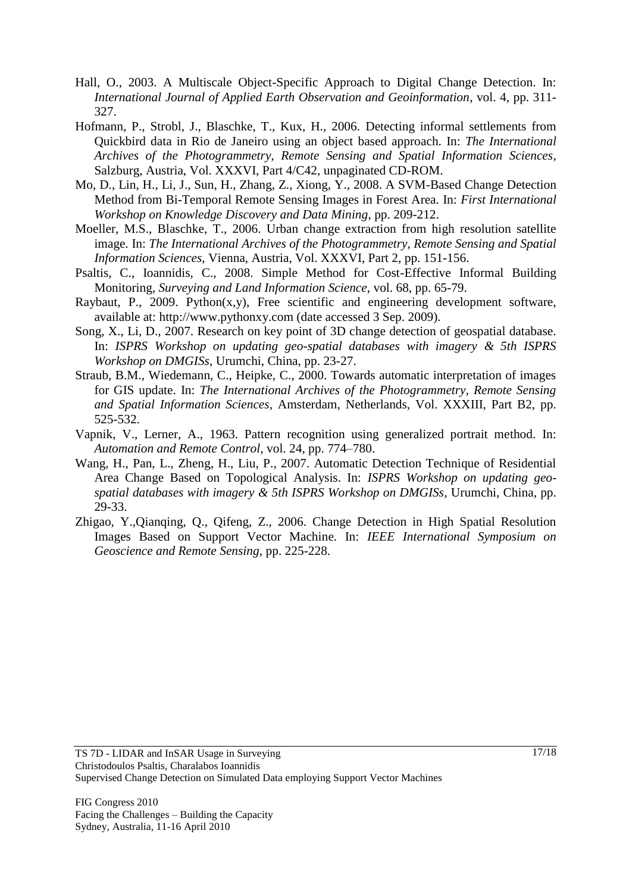- Hall, O., 2003. A Multiscale Object-Specific Approach to Digital Change Detection. In: *International Journal of Applied Earth Observation and Geoinformation*, vol. 4, pp. 311- 327.
- Hofmann, P., Strobl, J., Blaschke, T., Kux, H., 2006. Detecting informal settlements from Quickbird data in Rio de Janeiro using an object based approach. In: *The International Archives of the Photogrammetry, Remote Sensing and Spatial Information Sciences*, Salzburg, Austria, Vol. XXXVI, Part 4/C42, unpaginated CD-ROM.
- Mo, D., Lin, H., Li, J., Sun, H., Zhang, Z., Xiong, Y., 2008. A SVM-Based Change Detection Method from Bi-Temporal Remote Sensing Images in Forest Area. In: *First International Workshop on Knowledge Discovery and Data Mining*, pp. 209-212.
- Moeller, M.S., Blaschke, T., 2006. Urban change extraction from high resolution satellite image. In: *The International Archives of the Photogrammetry, Remote Sensing and Spatial Information Sciences*, Vienna, Austria, Vol. XXXVI, Part 2, pp. 151-156.
- Psaltis, C., Ioannidis, C., 2008. Simple Method for Cost-Effective Informal Building Monitoring, *Surveying and Land Information Science*, vol. 68, pp. 65-79.
- Raybaut, P., 2009. Python(x,y), Free scientific and engineering development software, available at: http://www.pythonxy.com (date accessed 3 Sep. 2009).
- Song, X., Li, D., 2007. Research on key point of 3D change detection of geospatial database. In: *ISPRS Workshop on updating geo-spatial databases with imagery & 5th ISPRS Workshop on DMGISs*, Urumchi, China, pp. 23-27.
- Straub, B.M., Wiedemann, C., Heipke, C., 2000. Towards automatic interpretation of images for GIS update. In: *The International Archives of the Photogrammetry, Remote Sensing and Spatial Information Sciences*, Amsterdam, Netherlands, Vol. XXXIII, Part B2, pp. 525-532.
- Vapnik, V., Lerner, A., 1963. Pattern recognition using generalized portrait method. In: *Automation and Remote Control*, vol. 24, pp. 774–780.
- Wang, H., Pan, L., Zheng, H., Liu, P., 2007. Automatic Detection Technique of Residential Area Change Based on Topological Analysis. In: *ISPRS Workshop on updating geospatial databases with imagery & 5th ISPRS Workshop on DMGISs*, Urumchi, China, pp. 29-33.
- Zhigao, Y.,Qianqing, Q., Qifeng, Z., 2006. Change Detection in High Spatial Resolution Images Based on Support Vector Machine. In: *IEEE International Symposium on Geoscience and Remote Sensing*, pp. 225-228.